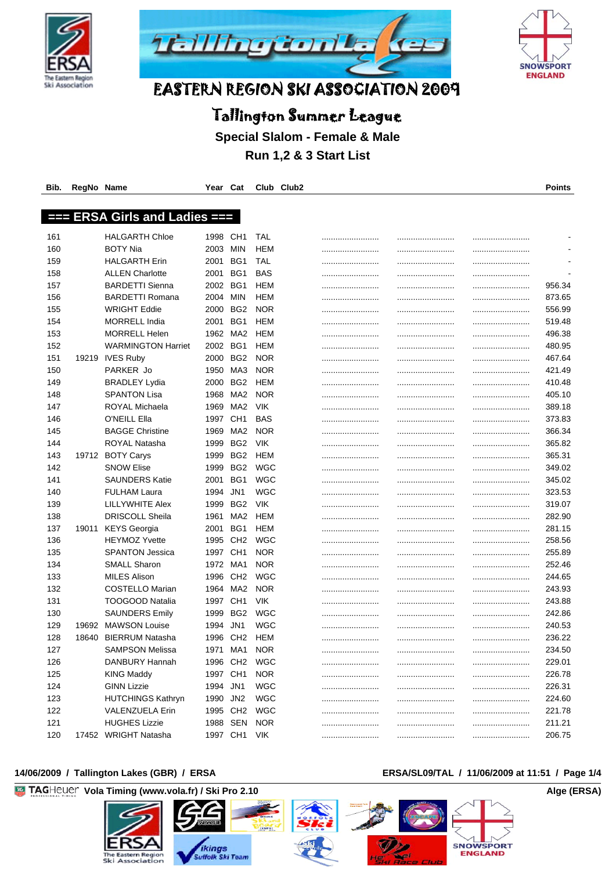





# Tallington Summer League

**Special Slalom - Female & Male**

**Run 1,2 & 3 Start List**

| Bib. | RegNo Name |                                  | Year     | Cat                      |            | Club Club2 |      | Points                   |
|------|------------|----------------------------------|----------|--------------------------|------------|------------|------|--------------------------|
|      |            |                                  |          |                          |            |            |      |                          |
| ł    |            | <b>ERSA Girls and Ladies ===</b> |          |                          |            |            |      |                          |
|      |            |                                  |          |                          |            |            |      |                          |
| 161  |            | <b>HALGARTH Chloe</b>            | 1998     | CH <sub>1</sub>          | TAL        |            | <br> | $\blacksquare$           |
| 160  |            | <b>BOTY Nia</b>                  | 2003     | <b>MIN</b>               | HEM        |            |      | $\overline{\phantom{a}}$ |
| 159  |            | <b>HALGARTH Erin</b>             | 2001     | BG1                      | TAL        |            |      | $\blacksquare$           |
| 158  |            | <b>ALLEN Charlotte</b>           | 2001     | BG1                      | <b>BAS</b> |            |      | $\blacksquare$           |
| 157  |            | <b>BARDETTI Sienna</b>           | 2002     | BG1                      | HEM        |            |      | 956.34                   |
| 156  |            | <b>BARDETTI Romana</b>           | 2004     | <b>MIN</b>               | HEM        |            |      | 873.65                   |
| 155  |            | <b>WRIGHT Eddie</b>              | 2000     | BG <sub>2</sub>          | <b>NOR</b> |            |      | 556.99                   |
| 154  |            | <b>MORRELL India</b>             | 2001     | BG1                      | HEM        |            |      | 519.48                   |
| 153  |            | <b>MORRELL Helen</b>             | 1962     | MA2                      | HEM        |            |      | 496.38                   |
| 152  |            | <b>WARMINGTON Harriet</b>        | 2002     | BG1                      | HEM        |            | <br> | <br>480.95               |
| 151  |            | 19219 IVES Ruby                  | 2000     | BG <sub>2</sub>          | <b>NOR</b> |            |      | 467.64                   |
| 150  |            | PARKER Jo                        | 1950     | MA3                      | <b>NOR</b> |            |      | 421.49                   |
| 149  |            | <b>BRADLEY Lydia</b>             | 2000     | BG <sub>2</sub>          | HEM        |            |      | 410.48                   |
| 148  |            | <b>SPANTON Lisa</b>              | 1968     | MA <sub>2</sub>          | <b>NOR</b> |            | <br> | <br>405.10               |
| 147  |            | ROYAL Michaela                   | 1969     | MA2                      | <b>VIK</b> |            |      | 389.18                   |
| 146  |            | O'NEILL Ella                     | 1997     | CH <sub>1</sub>          | <b>BAS</b> |            |      | 373.83                   |
| 145  |            | <b>BAGGE Christine</b>           | 1969     | MA2                      | <b>NOR</b> |            |      | <br>366.34               |
| 144  |            | ROYAL Natasha                    | 1999     | BG <sub>2</sub>          | <b>VIK</b> |            |      | 365.82                   |
| 143  |            | 19712 BOTY Carys                 | 1999     | BG <sub>2</sub>          | HEM        |            |      | <br>365.31               |
| 142  |            | <b>SNOW Elise</b>                | 1999     | BG <sub>2</sub>          | <b>WGC</b> |            |      | 349.02                   |
| 141  |            | <b>SAUNDERS Katie</b>            | 2001     | BG1                      | WGC        |            |      | 345.02                   |
| 140  |            | <b>FULHAM Laura</b>              | 1994     | JN1                      | WGC        |            |      | 323.53                   |
| 139  |            | LILLYWHITE Alex                  | 1999     | BG <sub>2</sub>          | <b>VIK</b> |            |      | <br>319.07               |
| 138  |            | <b>DRISCOLL Sheila</b>           | 1961     | MA <sub>2</sub>          | HEM        |            |      | <br>282.90               |
| 137  | 19011      | <b>KEYS Georgia</b>              | 2001     | BG1                      | HEM        |            |      | 281.15                   |
| 136  |            | <b>HEYMOZ Yvette</b>             | 1995     | CH <sub>2</sub>          | WGC        |            | <br> | <br>258.56               |
| 135  |            | <b>SPANTON Jessica</b>           | 1997     | CH <sub>1</sub>          | <b>NOR</b> |            | <br> | <br>255.89               |
| 134  |            | <b>SMALL Sharon</b>              | 1972     | MA1                      | <b>NOR</b> |            | <br> | <br>252.46               |
| 133  |            | <b>MILES Alison</b>              | 1996     | CH <sub>2</sub>          | <b>WGC</b> |            |      | 244.65                   |
| 132  |            | COSTELLO Marian                  | 1964     | MA <sub>2</sub>          | <b>NOR</b> |            |      | 243.93                   |
| 131  |            | <b>TOOGOOD Natalia</b>           | 1997     | CH <sub>1</sub>          | <b>VIK</b> |            |      | 243.88                   |
| 130  |            | <b>SAUNDERS Emily</b>            | 1999     | BG <sub>2</sub>          | <b>WGC</b> |            | <br> | <br>242.86               |
| 129  | 19692      | <b>MAWSON Louise</b>             | 1994     | JN <sub>1</sub>          | WGC        |            |      | 240.53                   |
| 128  | 18640      | <b>BIERRUM Natasha</b>           |          | 1996 CH2                 | HEM        |            | <br> | <br>236.22               |
| 127  |            | SAMPSON Melissa                  | 1971     | MA1                      | <b>NOR</b> |            |      | 234.50                   |
| 126  |            | DANBURY Hannah                   | 1996     | CH <sub>2</sub>          | <b>WGC</b> |            |      | 229.01                   |
| 125  |            | <b>KING Maddy</b>                | 1997     | CH <sub>1</sub>          | <b>NOR</b> |            |      | 226.78                   |
| 124  |            | <b>GINN Lizzie</b>               | 1994 JN1 |                          | <b>WGC</b> |            |      | 226.31                   |
| 123  |            | <b>HUTCHINGS Kathryn</b>         | 1990     | JN2                      | <b>WGC</b> |            |      | 224.60                   |
| 122  |            | VALENZUELA Erin                  | 1995 CH2 |                          | <b>WGC</b> |            |      | 221.78                   |
| 121  |            | <b>HUGHES Lizzie</b>             |          |                          | <b>NOR</b> |            |      |                          |
| 120  |            |                                  |          | 1988 SEN<br>1997 CH1 VIK |            |            |      | 211.21                   |
|      |            | 17452 WRIGHT Natasha             |          |                          |            |            |      | 206.75                   |

#### 14/06/2009 / Tallington Lakes (GBR) / ERSA **ERSA/SL09/TAL / 11/06/2009** at 11:51 / Page 1/4

## **Vola Timing (www.vola.fr) / Ski Pro 2.10 Alge (ERSA)** Alge (ERSA) *ikings*<br>Suffolk Ski Team **SNOWSPORT ENGLAND** The Eastern Regio<br>Ski Associatio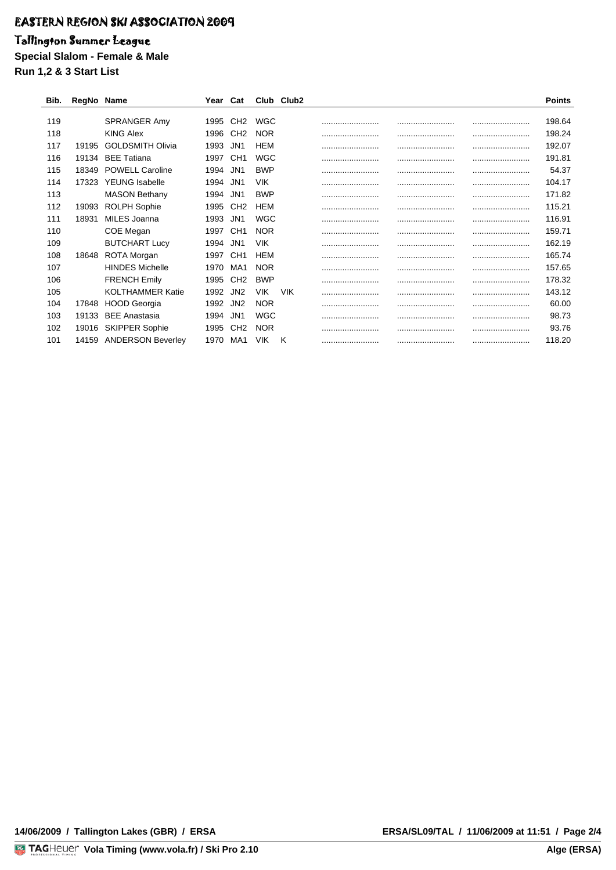## Tallington Summer League

**Special Slalom - Female & Male**

**Run 1,2 & 3 Start List**

| Bib. | RegNo Name |                          | Year | Cat             |            | Club Club2 |      | <b>Points</b> |
|------|------------|--------------------------|------|-----------------|------------|------------|------|---------------|
|      |            |                          |      |                 |            |            |      |               |
| 119  |            | <b>SPRANGER Amy</b>      | 1995 | CH <sub>2</sub> | WGC        |            | <br> | <br>198.64    |
| 118  |            | KING Alex                | 1996 | CH <sub>2</sub> | <b>NOR</b> |            |      | <br>198.24    |
| 117  | 19195      | <b>GOLDSMITH Olivia</b>  | 1993 | JN1             | HEM        |            | <br> | <br>192.07    |
| 116  | 19134      | <b>BEE</b> Tatiana       | 1997 | CH <sub>1</sub> | <b>WGC</b> |            | <br> | <br>191.81    |
| 115  | 18349      | <b>POWELL Caroline</b>   | 1994 | JN <sub>1</sub> | <b>BWP</b> |            | <br> | <br>54.37     |
| 114  | 17323      | <b>YEUNG</b> Isabelle    | 1994 | JN1             | <b>VIK</b> |            | <br> | 104.17        |
| 113  |            | <b>MASON Bethany</b>     | 1994 | JN1             | <b>BWP</b> |            | <br> | <br>171.82    |
| 112  | 19093      | ROLPH Sophie             | 1995 | CH <sub>2</sub> | HEM        |            | <br> | <br>115.21    |
| 111  | 18931      | MILES Joanna             | 1993 | JN <sub>1</sub> | WGC        |            | <br> | <br>116.91    |
| 110  |            | COE Megan                | 1997 | CH <sub>1</sub> | <b>NOR</b> |            | <br> | <br>159.71    |
| 109  |            | <b>BUTCHART Lucy</b>     | 1994 | JN1             | <b>VIK</b> |            | <br> | <br>162.19    |
| 108  | 18648      | <b>ROTA Morgan</b>       | 1997 | CH <sub>1</sub> | HEM        |            | <br> | <br>165.74    |
| 107  |            | <b>HINDES Michelle</b>   | 1970 | MA1             | <b>NOR</b> |            |      | <br>157.65    |
| 106  |            | <b>FRENCH Emily</b>      | 1995 | CH <sub>2</sub> | <b>BWP</b> |            | <br> | <br>178.32    |
| 105  |            | <b>KOLTHAMMER Katie</b>  | 1992 | JN <sub>2</sub> | <b>VIK</b> | <b>VIK</b> |      | <br>143.12    |
| 104  | 17848      | <b>HOOD Georgia</b>      | 1992 | JN <sub>2</sub> | <b>NOR</b> |            | <br> | <br>60.00     |
| 103  | 19133      | <b>BEE</b> Anastasia     | 1994 | JN <sub>1</sub> | WGC        |            | <br> | <br>98.73     |
| 102  | 19016      | <b>SKIPPER Sophie</b>    | 1995 | CH <sub>2</sub> | <b>NOR</b> |            | <br> | <br>93.76     |
| 101  | 14159      | <b>ANDERSON Beverley</b> | 1970 | MA1             | VIK        | Κ          | <br> | <br>118.20    |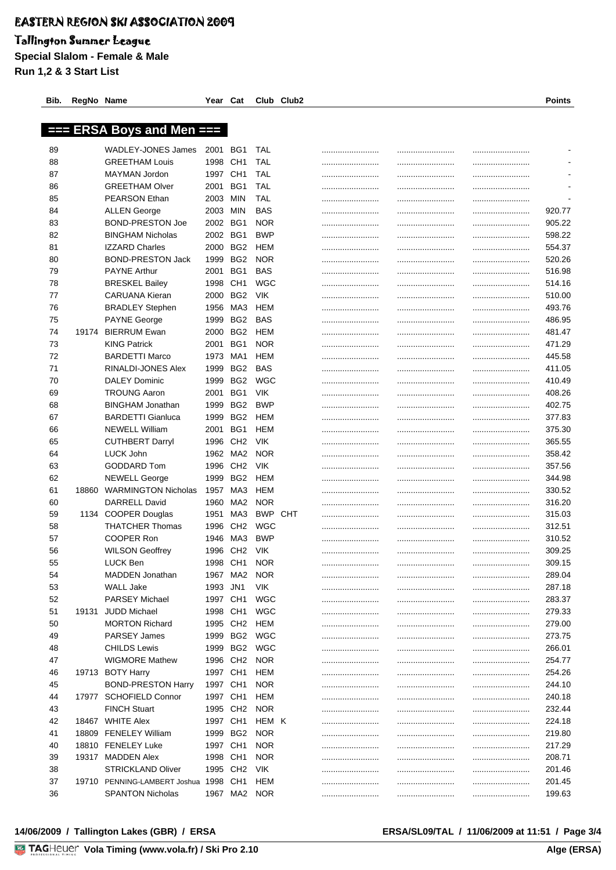### Tallington Summer League

**Special Slalom - Female & Male Run 1,2 & 3 Start List**

|          |       | === ERSA Boys and Men ===              |                      |                        |                              |      |              |                          |
|----------|-------|----------------------------------------|----------------------|------------------------|------------------------------|------|--------------|--------------------------|
| 89       |       | WADLEY-JONES James                     | 2001                 | BG1                    | TAL                          |      | <br>         | $\overline{\phantom{a}}$ |
| 88       |       | <b>GREETHAM Louis</b>                  | 1998                 | CH <sub>1</sub>        | TAL                          |      | <br>         |                          |
| 87       |       | MAYMAN Jordon                          | 1997                 | CH1                    | TAL                          |      | <br>         |                          |
| 86       |       | <b>GREETHAM Olver</b>                  | 2001                 | BG1                    | TAL                          |      | <br>         |                          |
| 85       |       | <b>PEARSON Ethan</b>                   | 2003                 | MIN                    | TAL                          |      | <br>         |                          |
| 84       |       | <b>ALLEN George</b>                    | 2003                 | MIN                    | BAS                          |      | <br>         | 920.77                   |
| 83       |       | <b>BOND-PRESTON Joe</b>                | 2002                 | BG1                    | <b>NOR</b>                   |      | <br>         | 905.22                   |
| 82       |       | <b>BINGHAM Nicholas</b>                | 2002                 | BG1                    | <b>BWP</b>                   |      | <br>         | 598.22                   |
| 81       |       | <b>IZZARD Charles</b>                  | 2000                 | BG <sub>2</sub>        | HEM                          |      | <br>         | 554.37                   |
| 80       |       | <b>BOND-PRESTON Jack</b>               | 1999                 | BG <sub>2</sub>        | <b>NOR</b>                   |      | <br>         | 520.26                   |
| 79       |       | <b>PAYNE Arthur</b>                    | 2001                 | BG1                    | BAS                          |      | <br>         | 516.98                   |
| 78       |       | <b>BRESKEL Bailey</b>                  | 1998                 | CH <sub>1</sub>        | WGC                          |      | <br>         | 514.16                   |
| 77       |       | <b>CARUANA Kieran</b>                  | 2000                 | BG2                    | <b>VIK</b>                   |      | <br>         | 510.00                   |
| 76       |       | <b>BRADLEY Stephen</b>                 | 1956                 | MA3                    | HEM                          |      | <br>         | 493.76                   |
| 75       |       | <b>PAYNE George</b>                    | 1999                 | BG2                    | BAS                          |      | <br>         | 486.95                   |
| 74       | 19174 | <b>BIERRUM Ewan</b>                    | 2000                 | BG2                    | HEM                          |      | <br>         | 481.47                   |
| 73       |       | <b>KING Patrick</b>                    | 2001                 | BG1                    | <b>NOR</b>                   |      | <br>         | 471.29                   |
| 72       |       | <b>BARDETTI Marco</b>                  | 1973                 | MA1                    | HEM                          |      | <br>         | 445.58                   |
| 71       |       | RINALDI-JONES Alex                     | 1999                 | BG <sub>2</sub>        | BAS                          |      | <br>         | 411.05                   |
| 70       |       | <b>DALEY Dominic</b>                   | 1999                 | BG <sub>2</sub>        | WGC                          |      | <br>         | 410.49                   |
| 69       |       | <b>TROUNG Aaron</b>                    | 2001                 | BG1                    | <b>VIK</b>                   |      | <br>         | 408.26                   |
| 68       |       | <b>BINGHAM Jonathan</b>                | 1999                 | BG <sub>2</sub>        | <b>BWP</b>                   |      | <br>         | 402.75                   |
| 67       |       | <b>BARDETTI Gianluca</b>               | 1999                 | BG <sub>2</sub>        | HEM                          |      | <br>         | 377.83                   |
| 66       |       | <b>NEWELL William</b>                  | 2001                 | BG1                    | HEM                          |      | <br>         | 375.30                   |
| 65       |       | <b>CUTHBERT Darryl</b>                 | 1996                 | CH <sub>2</sub>        | <b>VIK</b>                   |      | <br>         | 365.55                   |
| 64       |       | LUCK John                              | 1962 MA2             |                        | <b>NOR</b>                   |      | <br>         | 358.42                   |
| 63       |       | GODDARD Tom                            | 1996                 | CH <sub>2</sub>        | <b>VIK</b>                   |      | <br>         | 357.56                   |
| 62       |       | <b>NEWELL George</b>                   | 1999                 | BG <sub>2</sub>        | HEM                          |      | <br>         | 344.98                   |
| 61       |       | 18860 WARMINGTON Nicholas              | 1957                 | MA3                    | HEM                          |      | <br>         | 330.52                   |
| 60       |       | DARRELL David                          | 1960                 | MA2                    | <b>NOR</b><br><b>BWP CHT</b> |      |              | 316.20                   |
| 59<br>58 |       | 1134 COOPER Douglas<br>THATCHER Thomas | 1951<br>1996         | MA3<br>CH <sub>2</sub> | WGC                          |      | <br>         | 315.03<br>312.51         |
| 57       |       | COOPER Ron                             | 1946                 | MA3                    | <b>BWP</b>                   | <br> | <br>         | 310.52                   |
| 56       |       | <b>WILSON Geoffrey</b>                 | 1996                 | CH <sub>2</sub>        | <b>VIK</b>                   |      | <br>         | 309.25                   |
| 55       |       | <b>LUCK Ben</b>                        | 1998                 | CH <sub>1</sub>        | <b>NOR</b>                   | <br> | <br><br><br> | 309.15                   |
| 54       |       | MADDEN Jonathan                        |                      | 1967 MA2               | <b>NOR</b>                   |      |              | 289.04                   |
| 53       |       | WALL Jake                              | 1993 JN1             |                        | <b>VIK</b>                   |      | <br>         | 287.18                   |
| 52       |       | <b>PARSEY Michael</b>                  | 1997 CH1             |                        | WGC                          |      | <br>         | 283.37                   |
| 51       |       | 19131 JUDD Michael                     | 1998 CH1             |                        | <b>WGC</b>                   |      | <br>         | 279.33                   |
| 50       |       | <b>MORTON Richard</b>                  |                      | 1995 CH2 HEM           |                              |      | <br>         | 279.00                   |
| 49       |       | <b>PARSEY James</b>                    |                      |                        | 1999 BG2 WGC                 |      | <br>         | 273.75                   |
| 48       |       | <b>CHILDS Lewis</b>                    |                      | 1999 BG2               | WGC                          |      | <br>         | 266.01                   |
| 47       |       | <b>WIGMORE Mathew</b>                  | 1996 CH <sub>2</sub> |                        | <b>NOR</b>                   |      | <br>         | 254.77                   |
| 46       |       | 19713 BOTY Harry                       | 1997 CH1             |                        | HEM                          |      | <br>         | 254.26                   |
| 45       |       | <b>BOND-PRESTON Harry</b>              | 1997 CH1             |                        | <b>NOR</b>                   |      | <br>         | 244.10                   |
| 44       |       | 17977 SCHOFIELD Connor                 | 1997 CH1             |                        | HEM                          |      | <br>         | 240.18                   |
| 43       |       | <b>FINCH Stuart</b>                    | 1995 CH2             |                        | <b>NOR</b>                   |      | <br>         | 232.44                   |
| 42       |       | 18467 WHITE Alex                       | 1997 CH1             |                        | HEM K                        |      | <br>         | 224.18                   |
| 41       |       | 18809 FENELEY William                  | 1999 BG2             |                        | <b>NOR</b>                   |      | <br>         | 219.80                   |
| 40       |       | 18810 FENELEY Luke                     | 1997 CH1             |                        | <b>NOR</b>                   |      | <br>         | 217.29                   |
| 39       |       | 19317 MADDEN Alex                      | 1998 CH1             |                        | <b>NOR</b>                   |      | <br>         | 208.71                   |
| 38       |       | <b>STRICKLAND Oliver</b>               | 1995 CH <sub>2</sub> |                        | VIK                          |      | <br>         | 201.46                   |
| 37       |       | 19710 PENNING-LAMBERT Joshua 1998 CH1  |                      |                        | HEM                          |      | <br>         | 201.45                   |
| 36       |       | <b>SPANTON Nicholas</b>                |                      | 1967 MA2 NOR           |                              |      |              | 199.63                   |

**Bib. RegNo Name Year Cat Club Club2 Points**

#### 14/06/2009 / Tallington Lakes (GBR) / ERSA **ERSA/SL09/TAL / 11/06/2009** at 11:51 / Page 3/4